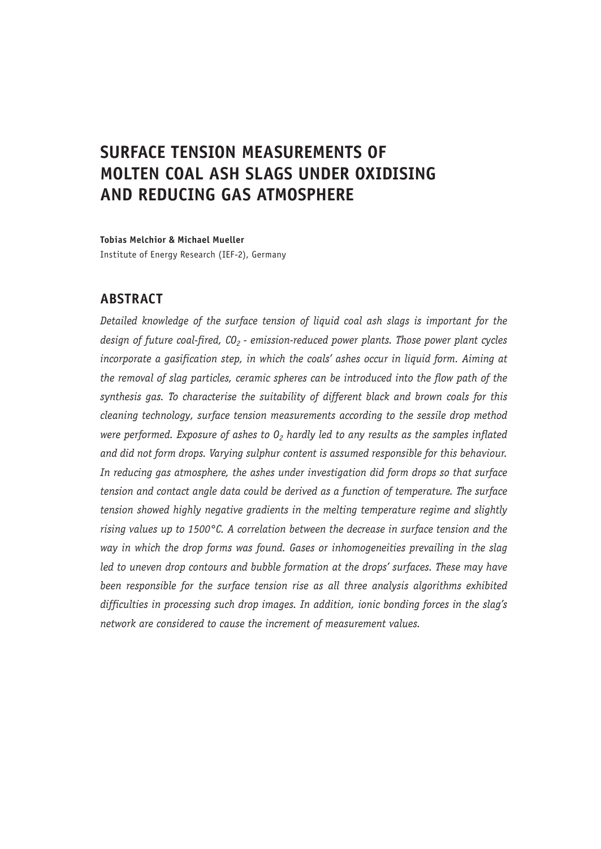# **SURFACE TENSION MEASUREMENTS OF MOLTEN COAL ASH SLAGS UNDER OXIDISING AND REDUCING GAS ATMOSPHERE**

**Tobias Melchior & Michael Mueller** Institute of Energy Research (IEF-2), Germany

# **ABSTRACT**

*Detailed knowledge of the surface tension of liquid coal ash slags is important for the*  design of future coal-fired, CO<sub>2</sub> - emission-reduced power plants. Those power plant cycles *incorporate a gasification step, in which the coals' ashes occur in liquid form. Aiming at the removal of slag particles, ceramic spheres can be introduced into the flow path of the synthesis gas. To characterise the suitability of different black and brown coals for this cleaning technology, surface tension measurements according to the sessile drop method were performed. Exposure of ashes to 0<sub>2</sub> hardly led to any results as the samples inflated and did not form drops. Varying sulphur content is assumed responsible for this behaviour. In reducing gas atmosphere, the ashes under investigation did form drops so that surface tension and contact angle data could be derived as a function of temperature. The surface tension showed highly negative gradients in the melting temperature regime and slightly rising values up to 1500°C. A correlation between the decrease in surface tension and the way in which the drop forms was found. Gases or inhomogeneities prevailing in the slag*  led to uneven drop contours and bubble formation at the drops' surfaces. These may have *been responsible for the surface tension rise as all three analysis algorithms exhibited difficulties in processing such drop images. In addition, ionic bonding forces in the slag's network are considered to cause the increment of measurement values.*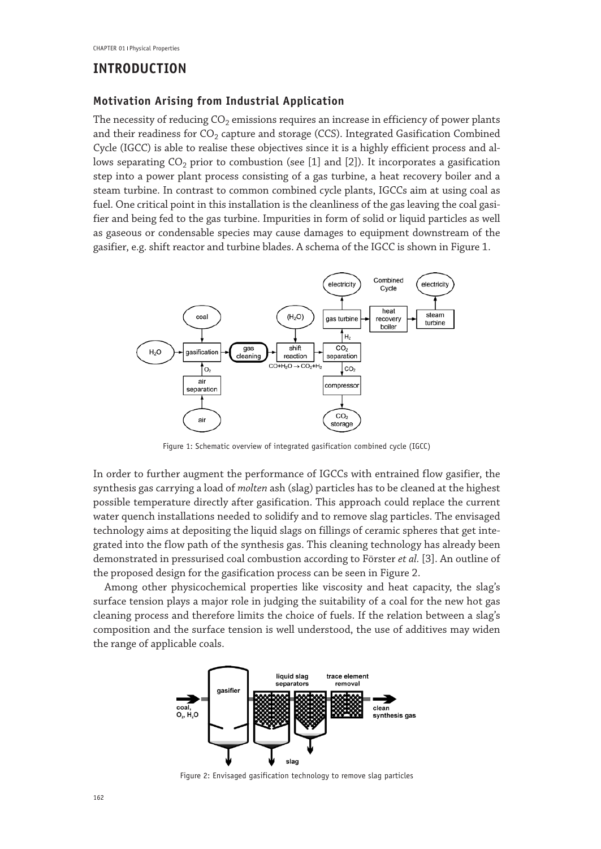### **INTRODUCTION**

#### **Motivation Arising from Industrial Application**

The necessity of reducing  $CO<sub>2</sub>$  emissions requires an increase in efficiency of power plants and their readiness for  $CO<sub>2</sub>$  capture and storage (CCS). Integrated Gasification Combined Cycle (IGCC) is able to realise these objectives since it is a highly efficient process and allows separating  $CO<sub>2</sub>$  prior to combustion (see [1] and [2]). It incorporates a gasification step into a power plant process consisting of a gas turbine, a heat recovery boiler and a steam turbine. In contrast to common combined cycle plants, IGCCs aim at using coal as fuel. One critical point in this installation is the cleanliness of the gas leaving the coal gasifier and being fed to the gas turbine. Impurities in form of solid or liquid particles as well as gaseous or condensable species may cause damages to equipment downstream of the gasifier, e.g. shift reactor and turbine blades. A schema of the IGCC is shown in Figure 1.



Figure 1: Schematic overview of integrated gasification combined cycle (IGCC)

In order to further augment the performance of IGCCs with entrained flow gasifier, the synthesis gas carrying a load of *molten* ash (slag) particles has to be cleaned at the highest possible temperature directly after gasification. This approach could replace the current water quench installations needed to solidify and to remove slag particles. The envisaged technology aims at depositing the liquid slags on fillings of ceramic spheres that get integrated into the flow path of the synthesis gas. This cleaning technology has already been demonstrated in pressurised coal combustion according to Förster *et al.* [3]. An outline of the proposed design for the gasification process can be seen in Figure 2.

Among other physicochemical properties like viscosity and heat capacity, the slag's surface tension plays a major role in judging the suitability of a coal for the new hot gas cleaning process and therefore limits the choice of fuels. If the relation between a slag's composition and the surface tension is well understood, the use of additives may widen the range of applicable coals.



Figure 2: Envisaged gasification technology to remove slag particles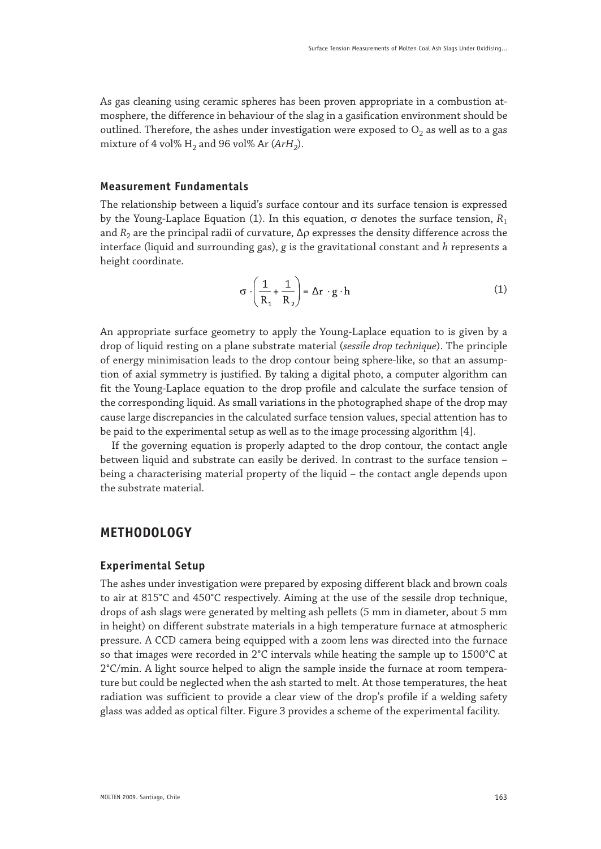As gas cleaning using ceramic spheres has been proven appropriate in a combustion atmosphere, the difference in behaviour of the slag in a gasification environment should be outlined. Therefore, the ashes under investigation were exposed to  $O<sub>2</sub>$  as well as to a gas mixture of 4 vol%  $H_2$  and 96 vol% Ar ( $ArH_2$ ).

#### **Measurement Fundamentals**

The relationship between a liquid's surface contour and its surface tension is expressed by the Young-Laplace Equation (1). In this equation, σ denotes the surface tension,  $R_1$ and  $R_2$  are the principal radii of curvature,  $\Delta \rho$  expresses the density difference across the interface (liquid and surrounding gas), *g* is the gravitational constant and *h* represents a height coordinate.

$$
\sigma \cdot \left(\frac{1}{R_1} + \frac{1}{R_2}\right) = \Delta r \cdot g \cdot h \tag{1}
$$

An appropriate surface geometry to apply the Young-Laplace equation to is given by a drop of liquid resting on a plane substrate material (*sessile drop technique*). The principle of energy minimisation leads to the drop contour being sphere-like, so that an assumption of axial symmetry is justified. By taking a digital photo, a computer algorithm can fit the Young-Laplace equation to the drop profile and calculate the surface tension of the corresponding liquid. As small variations in the photographed shape of the drop may cause large discrepancies in the calculated surface tension values, special attention has to be paid to the experimental setup as well as to the image processing algorithm [4].

If the governing equation is properly adapted to the drop contour, the contact angle between liquid and substrate can easily be derived. In contrast to the surface tension – being a characterising material property of the liquid – the contact angle depends upon the substrate material.

### **METHODOLOGY**

#### **Experimental Setup**

The ashes under investigation were prepared by exposing different black and brown coals to air at 815°C and 450°C respectively. Aiming at the use of the sessile drop technique, drops of ash slags were generated by melting ash pellets (5 mm in diameter, about 5 mm in height) on different substrate materials in a high temperature furnace at atmospheric pressure. A CCD camera being equipped with a zoom lens was directed into the furnace so that images were recorded in 2°C intervals while heating the sample up to 1500°C at 2°C/min. A light source helped to align the sample inside the furnace at room temperature but could be neglected when the ash started to melt. At those temperatures, the heat radiation was sufficient to provide a clear view of the drop's profile if a welding safety glass was added as optical filter. Figure 3 provides a scheme of the experimental facility.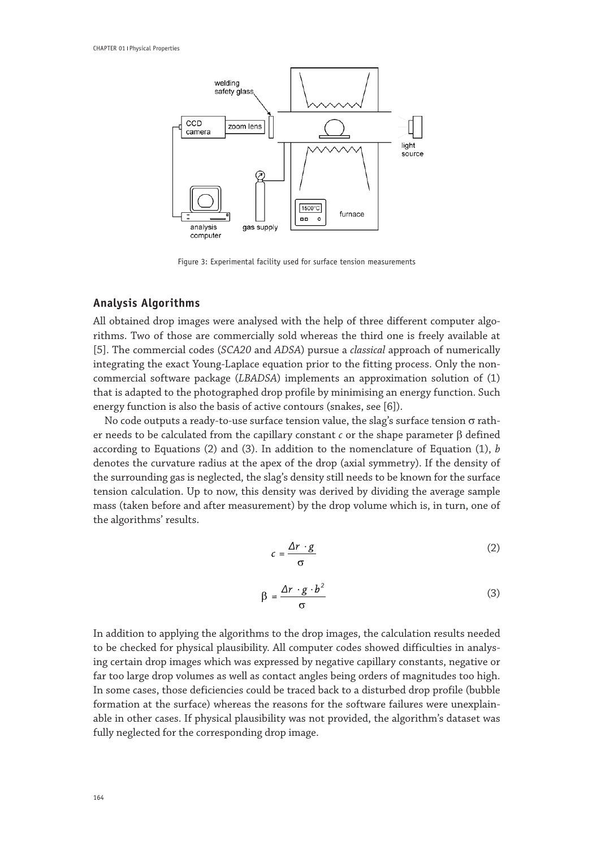

Figure 3: Experimental facility used for surface tension measurements

#### **Analysis Algorithms**

All obtained drop images were analysed with the help of three different computer algorithms. Two of those are commercially sold whereas the third one is freely available at [5]. The commercial codes (*SCA20* and *ADSA*) pursue a *classical* approach of numerically integrating the exact Young-Laplace equation prior to the fitting process. Only the noncommercial software package (*LBADSA*) implements an approximation solution of (1) that is adapted to the photographed drop profile by minimising an energy function. Such energy function is also the basis of active contours (snakes, see [6]).

No code outputs a ready-to-use surface tension value, the slag's surface tension σ rather needs to be calculated from the capillary constant *c* or the shape parameter β defined according to Equations (2) and (3). In addition to the nomenclature of Equation (1), *b* denotes the curvature radius at the apex of the drop (axial symmetry). If the density of the surrounding gas is neglected, the slag's density still needs to be known for the surface tension calculation. Up to now, this density was derived by dividing the average sample mass (taken before and after measurement) by the drop volume which is, in turn, one of the algorithms' results.

$$
c = \frac{\Delta r \cdot g}{\sigma} \tag{2}
$$

$$
\beta = \frac{\Delta r \cdot g \cdot b^2}{\sigma} \tag{3}
$$

In addition to applying the algorithms to the drop images, the calculation results needed to be checked for physical plausibility. All computer codes showed difficulties in analysing certain drop images which was expressed by negative capillary constants, negative or far too large drop volumes as well as contact angles being orders of magnitudes too high. In some cases, those deficiencies could be traced back to a disturbed drop profile (bubble formation at the surface) whereas the reasons for the software failures were unexplainable in other cases. If physical plausibility was not provided, the algorithm's dataset was fully neglected for the corresponding drop image.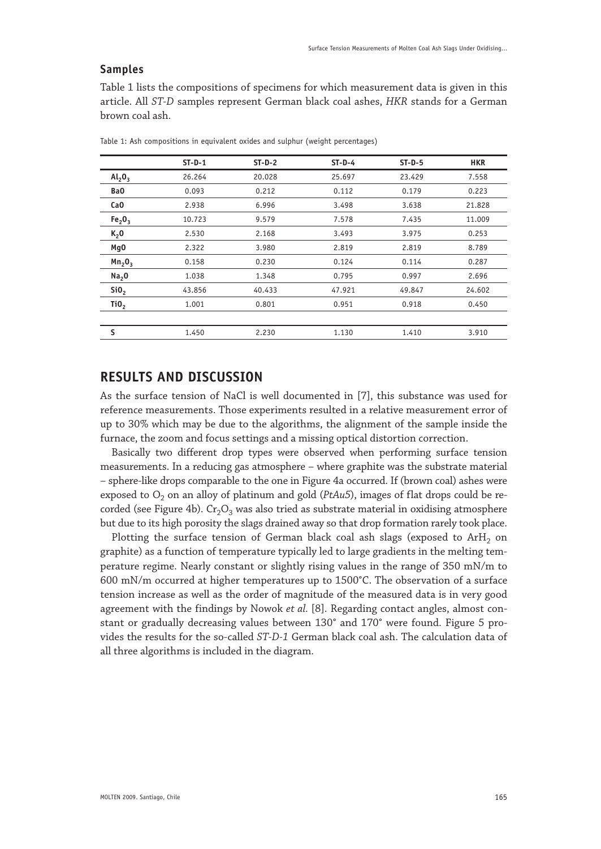#### **Samples**

Table 1 lists the compositions of specimens for which measurement data is given in this article. All *ST-D* samples represent German black coal ashes, *HKR* stands for a German brown coal ash.

|                                | $ST-D-1$ | $ST-D-2$ | $ST-D-4$ | $ST-D-5$ | <b>HKR</b> |
|--------------------------------|----------|----------|----------|----------|------------|
| Al <sub>2</sub> O <sub>3</sub> | 26.264   | 20.028   | 25.697   | 23.429   | 7.558      |
| BaO                            | 0.093    | 0.212    | 0.112    | 0.179    | 0.223      |
| CaO                            | 2.938    | 6.996    | 3.498    | 3.638    | 21.828     |
| Fe <sub>2</sub> O <sub>3</sub> | 10.723   | 9.579    | 7.578    | 7.435    | 11.009     |
| K <sub>2</sub> 0               | 2.530    | 2.168    | 3.493    | 3.975    | 0.253      |
| Mg0                            | 2.322    | 3.980    | 2.819    | 2.819    | 8.789      |
| Mn <sub>2</sub> 0 <sub>3</sub> | 0.158    | 0.230    | 0.124    | 0.114    | 0.287      |
| Na <sub>2</sub> 0              | 1.038    | 1.348    | 0.795    | 0.997    | 2.696      |
| SiO <sub>2</sub>               | 43.856   | 40.433   | 47.921   | 49.847   | 24.602     |
| TiO <sub>2</sub>               | 1.001    | 0.801    | 0.951    | 0.918    | 0.450      |
|                                |          |          |          |          |            |
| s                              | 1.450    | 2.230    | 1.130    | 1.410    | 3.910      |
|                                |          |          |          |          |            |

Table 1: Ash compositions in equivalent oxides and sulphur (weight percentages)

# **RESULTS AND DISCUSSION**

As the surface tension of NaCl is well documented in [7], this substance was used for reference measurements. Those experiments resulted in a relative measurement error of up to 30% which may be due to the algorithms, the alignment of the sample inside the furnace, the zoom and focus settings and a missing optical distortion correction.

Basically two different drop types were observed when performing surface tension measurements. In a reducing gas atmosphere – where graphite was the substrate material – sphere-like drops comparable to the one in Figure 4a occurred. If (brown coal) ashes were exposed to  $O_2$  on an alloy of platinum and gold ( $PtAu5$ ), images of flat drops could be recorded (see Figure 4b).  $Cr_2O_3$  was also tried as substrate material in oxidising atmosphere but due to its high porosity the slags drained away so that drop formation rarely took place.

Plotting the surface tension of German black coal ash slags (exposed to  $ArH<sub>2</sub>$  on graphite) as a function of temperature typically led to large gradients in the melting temperature regime. Nearly constant or slightly rising values in the range of 350 mN/m to 600 mN/m occurred at higher temperatures up to 1500°C. The observation of a surface tension increase as well as the order of magnitude of the measured data is in very good agreement with the findings by Nowok *et al.* [8]. Regarding contact angles, almost constant or gradually decreasing values between 130° and 170° were found. Figure 5 provides the results for the so-called *ST-D-1* German black coal ash. The calculation data of all three algorithms is included in the diagram.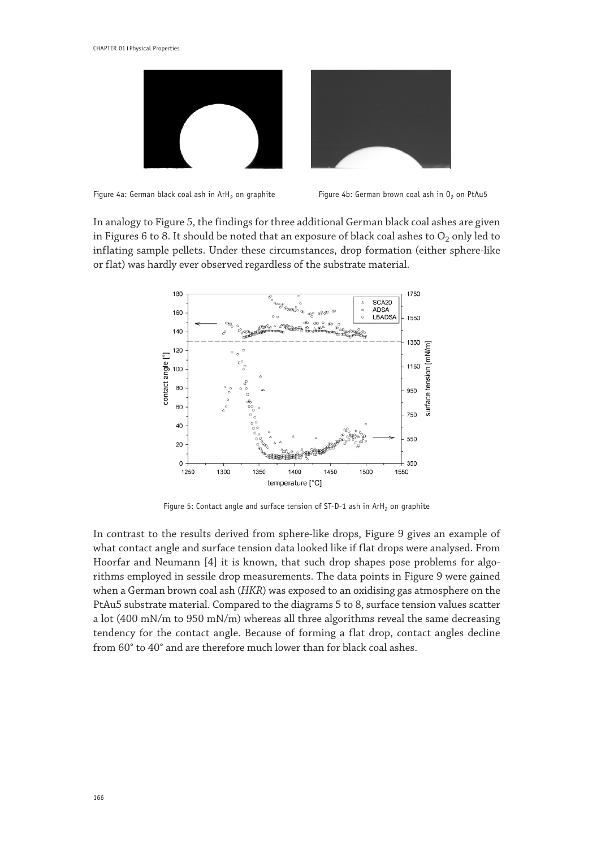



Figure 4a: German black coal ash in ArH<sub>2</sub> on graphite Figure 4b: German brown coal ash in  $0<sub>2</sub>$  on PtAu5

In analogy to Figure 5, the findings for three additional German black coal ashes are given in Figures 6 to 8. It should be noted that an exposure of black coal ashes to  $O_2$  only led to inflating sample pellets. Under these circumstances, drop formation (either sphere-like or flat) was hardly ever observed regardless of the substrate material.



Figure 5: Contact angle and surface tension of  $ST-D-1$  ash in  $ArH<sub>2</sub>$  on graphite

In contrast to the results derived from sphere-like drops, Figure 9 gives an example of what contact angle and surface tension data looked like if flat drops were analysed. From Hoorfar and Neumann [4] it is known, that such drop shapes pose problems for algorithms employed in sessile drop measurements. The data points in Figure 9 were gained when a German brown coal ash (*HKR*) was exposed to an oxidising gas atmosphere on the PtAu5 substrate material. Compared to the diagrams 5 to 8, surface tension values scatter a lot (400 mN/m to 950 mN/m) whereas all three algorithms reveal the same decreasing tendency for the contact angle. Because of forming a flat drop, contact angles decline from 60° to 40° and are therefore much lower than for black coal ashes.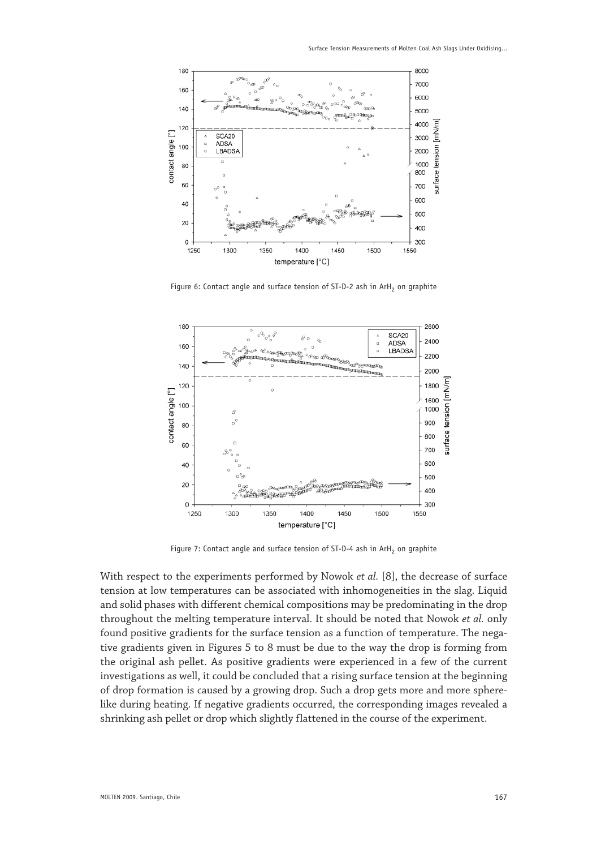

Figure 6: Contact angle and surface tension of ST-D-2 ash in ArH<sub>2</sub> on graphite



Figure 7: Contact angle and surface tension of  $ST-D-4$  ash in  $ArH<sub>2</sub>$  on graphite

With respect to the experiments performed by Nowok *et al.* [8], the decrease of surface tension at low temperatures can be associated with inhomogeneities in the slag. Liquid and solid phases with different chemical compositions may be predominating in the drop throughout the melting temperature interval. It should be noted that Nowok *et al.* only found positive gradients for the surface tension as a function of temperature. The negative gradients given in Figures 5 to 8 must be due to the way the drop is forming from the original ash pellet. As positive gradients were experienced in a few of the current investigations as well, it could be concluded that a rising surface tension at the beginning of drop formation is caused by a growing drop. Such a drop gets more and more spherelike during heating. If negative gradients occurred, the corresponding images revealed a shrinking ash pellet or drop which slightly flattened in the course of the experiment.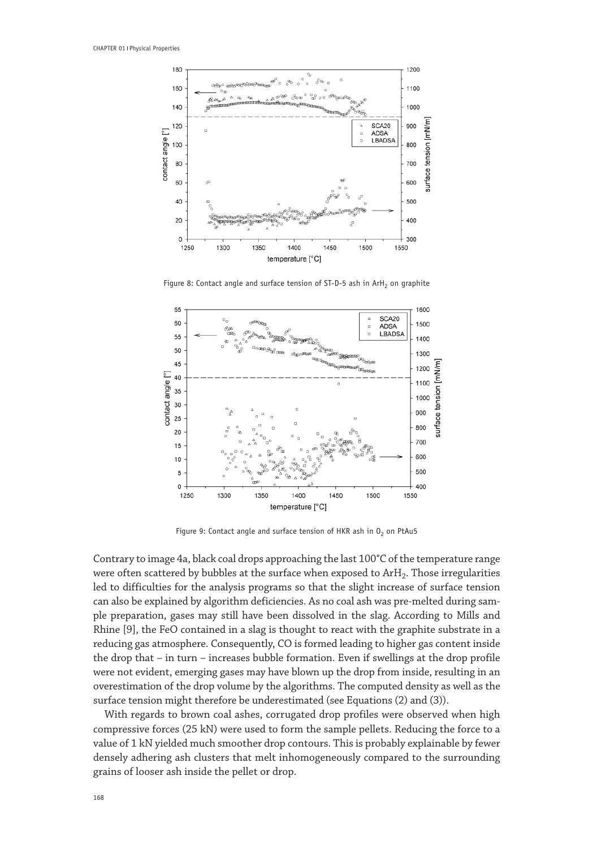

Figure 8: Contact angle and surface tension of ST-D-5 ash in ArH<sub>2</sub> on graphite



Figure 9: Contact angle and surface tension of HKR ash in  $0<sub>2</sub>$  on PtAu5

Contrary to image 4a, black coal drops approaching the last 100°C of the temperature range were often scattered by bubbles at the surface when exposed to ArH<sub>2</sub>. Those irregularities led to difficulties for the analysis programs so that the slight increase of surface tension can also be explained by algorithm deficiencies. As no coal ash was pre-melted during sample preparation, gases may still have been dissolved in the slag. According to Mills and Rhine [9], the FeO contained in a slag is thought to react with the graphite substrate in a reducing gas atmosphere. Consequently, CO is formed leading to higher gas content inside the drop that – in turn – increases bubble formation. Even if swellings at the drop profile were not evident, emerging gases may have blown up the drop from inside, resulting in an overestimation of the drop volume by the algorithms. The computed density as well as the surface tension might therefore be underestimated (see Equations (2) and (3)).

With regards to brown coal ashes, corrugated drop profiles were observed when high compressive forces (25 kN) were used to form the sample pellets. Reducing the force to a value of 1 kN yielded much smoother drop contours. This is probably explainable by fewer densely adhering ash clusters that melt inhomogeneously compared to the surrounding grains of looser ash inside the pellet or drop.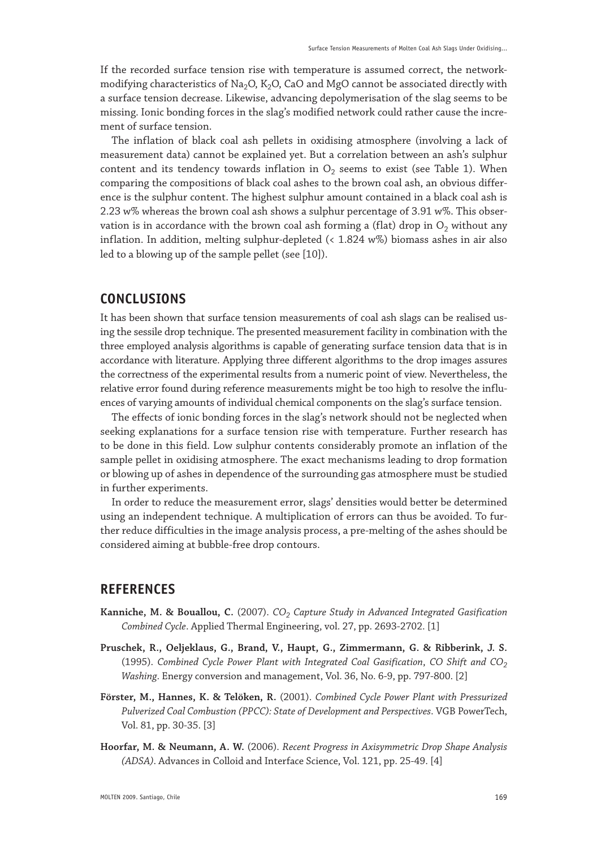If the recorded surface tension rise with temperature is assumed correct, the networkmodifying characteristics of Na<sub>2</sub>O, K<sub>2</sub>O, CaO and MgO cannot be associated directly with a surface tension decrease. Likewise, advancing depolymerisation of the slag seems to be missing. Ionic bonding forces in the slag's modified network could rather cause the increment of surface tension.

The inflation of black coal ash pellets in oxidising atmosphere (involving a lack of measurement data) cannot be explained yet. But a correlation between an ash's sulphur content and its tendency towards inflation in  $O<sub>2</sub>$  seems to exist (see Table 1). When comparing the compositions of black coal ashes to the brown coal ash, an obvious difference is the sulphur content. The highest sulphur amount contained in a black coal ash is 2.23 w% whereas the brown coal ash shows a sulphur percentage of 3.91 w%. This observation is in accordance with the brown coal ash forming a (flat) drop in  $O_2$  without any inflation. In addition, melting sulphur-depleted (< 1.824 w%) biomass ashes in air also led to a blowing up of the sample pellet (see [10]).

# **CONCLUSIONS**

It has been shown that surface tension measurements of coal ash slags can be realised using the sessile drop technique. The presented measurement facility in combination with the three employed analysis algorithms is capable of generating surface tension data that is in accordance with literature. Applying three different algorithms to the drop images assures the correctness of the experimental results from a numeric point of view. Nevertheless, the relative error found during reference measurements might be too high to resolve the influences of varying amounts of individual chemical components on the slag's surface tension.

The effects of ionic bonding forces in the slag's network should not be neglected when seeking explanations for a surface tension rise with temperature. Further research has to be done in this field. Low sulphur contents considerably promote an inflation of the sample pellet in oxidising atmosphere. The exact mechanisms leading to drop formation or blowing up of ashes in dependence of the surrounding gas atmosphere must be studied in further experiments.

In order to reduce the measurement error, slags' densities would better be determined using an independent technique. A multiplication of errors can thus be avoided. To further reduce difficulties in the image analysis process, a pre-melting of the ashes should be considered aiming at bubble-free drop contours.

### **REFERENCES**

- Kanniche, M. & Bouallou, C. (2007). *CO<sub>2</sub> Capture Study in Advanced Integrated Gasification Combined Cycle*. Applied Thermal Engineering, vol. 27, pp. 2693-2702. [1]
- **Pruschek, R., Oeljeklaus, G., Brand, V., Haupt, G., Zimmermann, G. & Ribberink, J. S.**  (1995). *Combined Cycle Power Plant with Integrated Coal Gasification*, *CO Shift and CO2 Washing*. Energy conversion and management, Vol. 36, No. 6-9, pp. 797-800. [2]
- **Förster, M., Hannes, K. & Telöken, R.** (2001). *Combined Cycle Power Plant with Pressurized Pulverized Coal Combustion (PPCC): State of Development and Perspectives*. VGB PowerTech, Vol. 81, pp. 30-35. [3]
- **Hoorfar, M. & Neumann, A. W.** (2006). *Recent Progress in Axisymmetric Drop Shape Analysis (ADSA)*. Advances in Colloid and Interface Science, Vol. 121, pp. 25-49. [4]